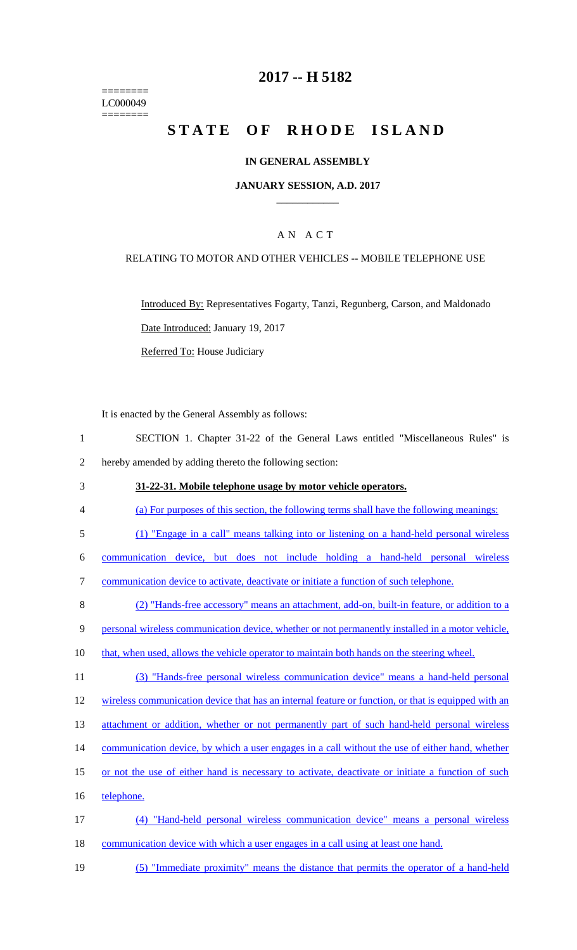======== LC000049 ========

## **2017 -- H 5182**

# STATE OF RHODE ISLAND

#### **IN GENERAL ASSEMBLY**

#### **JANUARY SESSION, A.D. 2017 \_\_\_\_\_\_\_\_\_\_\_\_**

### A N A C T

#### RELATING TO MOTOR AND OTHER VEHICLES -- MOBILE TELEPHONE USE

Introduced By: Representatives Fogarty, Tanzi, Regunberg, Carson, and Maldonado Date Introduced: January 19, 2017

Referred To: House Judiciary

It is enacted by the General Assembly as follows:

- 1 SECTION 1. Chapter 31-22 of the General Laws entitled "Miscellaneous Rules" is 2 hereby amended by adding thereto the following section:
- 3 **31-22-31. Mobile telephone usage by motor vehicle operators.**
- 4 (a) For purposes of this section, the following terms shall have the following meanings:
- 5 (1) "Engage in a call" means talking into or listening on a hand-held personal wireless
- 6 communication device, but does not include holding a hand-held personal wireless

7 communication device to activate, deactivate or initiate a function of such telephone.

- 8 (2) "Hands-free accessory" means an attachment, add-on, built-in feature, or addition to a
- 9 personal wireless communication device, whether or not permanently installed in a motor vehicle,
- 10 that, when used, allows the vehicle operator to maintain both hands on the steering wheel.
- 11 (3) "Hands-free personal wireless communication device" means a hand-held personal

12 wireless communication device that has an internal feature or function, or that is equipped with an

- 13 attachment or addition, whether or not permanently part of such hand-held personal wireless
- 14 communication device, by which a user engages in a call without the use of either hand, whether
- 15 or not the use of either hand is necessary to activate, deactivate or initiate a function of such
- 16 telephone.
- 17 (4) "Hand-held personal wireless communication device" means a personal wireless 18 communication device with which a user engages in a call using at least one hand.
- 19 (5) "Immediate proximity" means the distance that permits the operator of a hand-held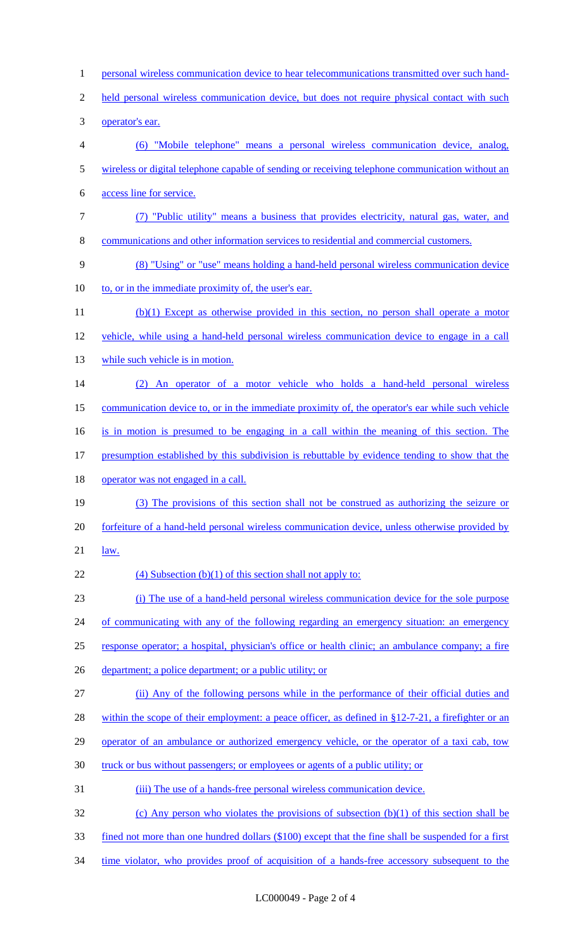1 personal wireless communication device to hear telecommunications transmitted over such hand-2 held personal wireless communication device, but does not require physical contact with such 3 operator's ear. 4 (6) "Mobile telephone" means a personal wireless communication device, analog, 5 wireless or digital telephone capable of sending or receiving telephone communication without an 6 access line for service. 7 (7) "Public utility" means a business that provides electricity, natural gas, water, and 8 communications and other information services to residential and commercial customers. 9 (8) "Using" or "use" means holding a hand-held personal wireless communication device 10 to, or in the immediate proximity of, the user's ear. 11 (b)(1) Except as otherwise provided in this section, no person shall operate a motor 12 vehicle, while using a hand-held personal wireless communication device to engage in a call 13 while such vehicle is in motion. 14 (2) An operator of a motor vehicle who holds a hand-held personal wireless 15 communication device to, or in the immediate proximity of, the operator's ear while such vehicle 16 is in motion is presumed to be engaging in a call within the meaning of this section. The 17 presumption established by this subdivision is rebuttable by evidence tending to show that the 18 operator was not engaged in a call. 19 (3) The provisions of this section shall not be construed as authorizing the seizure or 20 forfeiture of a hand-held personal wireless communication device, unless otherwise provided by 21 law. 22 (4) Subsection  $(b)(1)$  of this section shall not apply to: 23 (i) The use of a hand-held personal wireless communication device for the sole purpose 24 of communicating with any of the following regarding an emergency situation: an emergency 25 response operator; a hospital, physician's office or health clinic; an ambulance company; a fire 26 department; a police department; or a public utility; or 27 (ii) Any of the following persons while in the performance of their official duties and 28 within the scope of their employment: a peace officer, as defined in §12-7-21, a firefighter or an 29 operator of an ambulance or authorized emergency vehicle, or the operator of a taxi cab, tow 30 truck or bus without passengers; or employees or agents of a public utility; or 31 (iii) The use of a hands-free personal wireless communication device. 32 (c) Any person who violates the provisions of subsection (b)(1) of this section shall be 33 fined not more than one hundred dollars (\$100) except that the fine shall be suspended for a first 34 time violator, who provides proof of acquisition of a hands-free accessory subsequent to the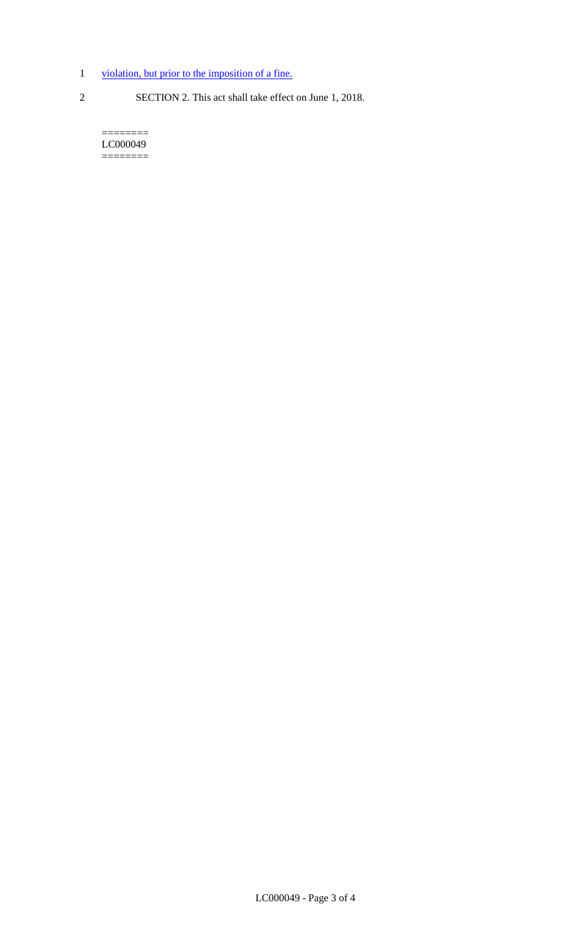- 1 violation, but prior to the imposition of a fine.
- 
- 2 SECTION 2. This act shall take effect on June 1, 2018.

======== LC000049 ========